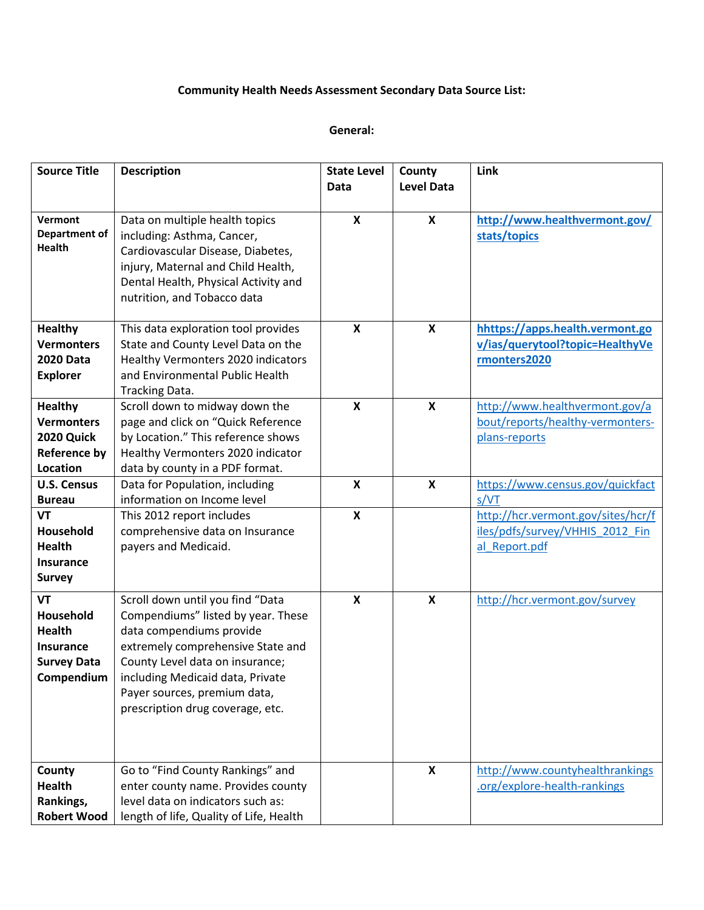# **Community Health Needs Assessment Secondary Data Source List:**

#### **General:**

| <b>Source Title</b>                                                                             | <b>Description</b>                                                                                                                                                                                                                                                                 | <b>State Level</b><br>Data | County<br><b>Level Data</b> | Link                                                                                   |
|-------------------------------------------------------------------------------------------------|------------------------------------------------------------------------------------------------------------------------------------------------------------------------------------------------------------------------------------------------------------------------------------|----------------------------|-----------------------------|----------------------------------------------------------------------------------------|
|                                                                                                 |                                                                                                                                                                                                                                                                                    |                            |                             |                                                                                        |
| Vermont<br>Department of<br><b>Health</b>                                                       | Data on multiple health topics<br>including: Asthma, Cancer,<br>Cardiovascular Disease, Diabetes,<br>injury, Maternal and Child Health,<br>Dental Health, Physical Activity and<br>nutrition, and Tobacco data                                                                     | X                          | $\boldsymbol{\mathsf{X}}$   | http://www.healthvermont.gov/<br>stats/topics                                          |
| <b>Healthy</b><br><b>Vermonters</b><br><b>2020 Data</b><br><b>Explorer</b>                      | This data exploration tool provides<br>State and County Level Data on the<br>Healthy Vermonters 2020 indicators<br>and Environmental Public Health<br>Tracking Data.                                                                                                               | X                          | $\boldsymbol{\mathsf{X}}$   | hhttps://apps.health.vermont.go<br>v/ias/querytool?topic=HealthyVe<br>rmonters2020     |
| <b>Healthy</b><br><b>Vermonters</b><br>2020 Quick<br><b>Reference by</b><br><b>Location</b>     | Scroll down to midway down the<br>page and click on "Quick Reference<br>by Location." This reference shows<br>Healthy Vermonters 2020 indicator<br>data by county in a PDF format.                                                                                                 | $\boldsymbol{\mathsf{x}}$  | $\boldsymbol{\mathsf{X}}$   | http://www.healthvermont.gov/a<br>bout/reports/healthy-vermonters-<br>plans-reports    |
| <b>U.S. Census</b><br><b>Bureau</b>                                                             | Data for Population, including<br>information on Income level                                                                                                                                                                                                                      | $\mathsf{x}$               | $\boldsymbol{\mathsf{x}}$   | https://www.census.gov/quickfact<br>s/VT                                               |
| <b>VT</b><br>Household<br><b>Health</b><br><b>Insurance</b><br><b>Survey</b>                    | This 2012 report includes<br>comprehensive data on Insurance<br>payers and Medicaid.                                                                                                                                                                                               | $\boldsymbol{\mathsf{x}}$  |                             | http://hcr.vermont.gov/sites/hcr/f<br>iles/pdfs/survey/VHHIS_2012_Fin<br>al Report.pdf |
| <b>VT</b><br>Household<br><b>Health</b><br><b>Insurance</b><br><b>Survey Data</b><br>Compendium | Scroll down until you find "Data<br>Compendiums" listed by year. These<br>data compendiums provide<br>extremely comprehensive State and<br>County Level data on insurance;<br>including Medicaid data, Private<br>Payer sources, premium data,<br>prescription drug coverage, etc. | X                          | $\boldsymbol{\mathsf{X}}$   | http://hcr.vermont.gov/survey                                                          |
| County<br>Health<br>Rankings,<br><b>Robert Wood</b>                                             | Go to "Find County Rankings" and<br>enter county name. Provides county<br>level data on indicators such as:<br>length of life, Quality of Life, Health                                                                                                                             |                            | X                           | http://www.countyhealthrankings<br>.org/explore-health-rankings                        |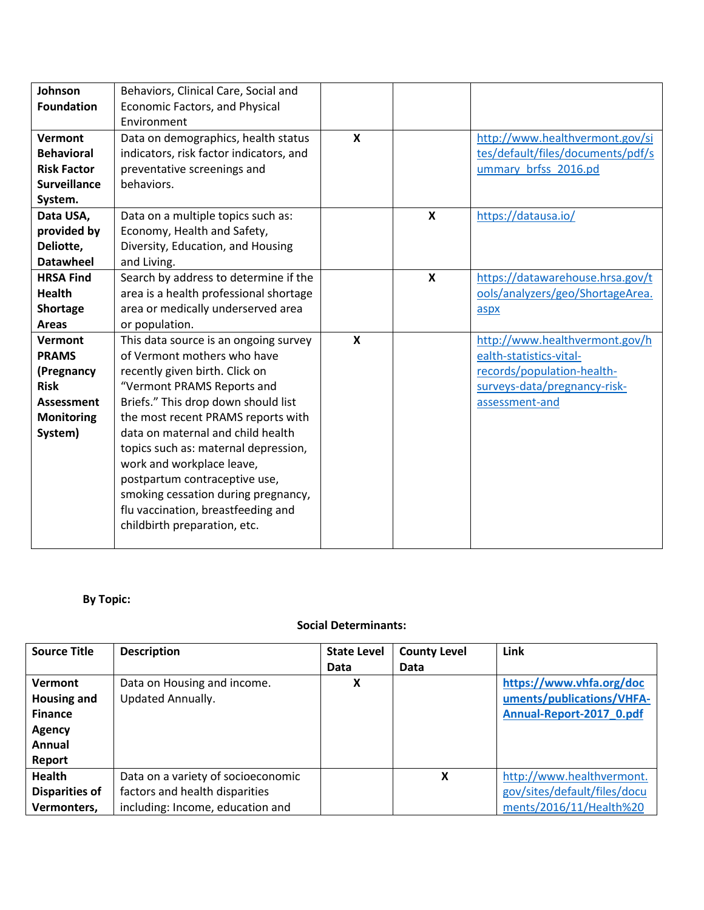| Johnson<br><b>Foundation</b><br>Vermont<br><b>Behavioral</b><br><b>Risk Factor</b> | Behaviors, Clinical Care, Social and<br><b>Economic Factors, and Physical</b><br>Environment<br>Data on demographics, health status<br>indicators, risk factor indicators, and<br>preventative screenings and                                        | $\mathsf{x}$              |   | http://www.healthvermont.gov/si<br>tes/default/files/documents/pdf/s<br>ummary brfss 2016.pd |
|------------------------------------------------------------------------------------|------------------------------------------------------------------------------------------------------------------------------------------------------------------------------------------------------------------------------------------------------|---------------------------|---|----------------------------------------------------------------------------------------------|
| <b>Surveillance</b>                                                                | behaviors.                                                                                                                                                                                                                                           |                           |   |                                                                                              |
| System.                                                                            |                                                                                                                                                                                                                                                      |                           |   |                                                                                              |
| Data USA,                                                                          | Data on a multiple topics such as:                                                                                                                                                                                                                   |                           | X | https://datausa.io/                                                                          |
| provided by<br>Deliotte,                                                           | Economy, Health and Safety,<br>Diversity, Education, and Housing                                                                                                                                                                                     |                           |   |                                                                                              |
| <b>Datawheel</b>                                                                   | and Living.                                                                                                                                                                                                                                          |                           |   |                                                                                              |
| <b>HRSA Find</b>                                                                   | Search by address to determine if the                                                                                                                                                                                                                |                           | X | https://datawarehouse.hrsa.gov/t                                                             |
| <b>Health</b>                                                                      | area is a health professional shortage                                                                                                                                                                                                               |                           |   | ools/analyzers/geo/ShortageArea.                                                             |
| Shortage                                                                           | area or medically underserved area                                                                                                                                                                                                                   |                           |   | aspx                                                                                         |
| <b>Areas</b>                                                                       | or population.                                                                                                                                                                                                                                       |                           |   |                                                                                              |
| <b>Vermont</b>                                                                     | This data source is an ongoing survey                                                                                                                                                                                                                | $\boldsymbol{\mathsf{x}}$ |   | http://www.healthvermont.gov/h                                                               |
| <b>PRAMS</b>                                                                       | of Vermont mothers who have                                                                                                                                                                                                                          |                           |   | ealth-statistics-vital-                                                                      |
| (Pregnancy                                                                         | recently given birth. Click on                                                                                                                                                                                                                       |                           |   | records/population-health-                                                                   |
| <b>Risk</b>                                                                        | "Vermont PRAMS Reports and                                                                                                                                                                                                                           |                           |   | surveys-data/pregnancy-risk-                                                                 |
| Assessment                                                                         | Briefs." This drop down should list                                                                                                                                                                                                                  |                           |   | assessment-and                                                                               |
| <b>Monitoring</b>                                                                  | the most recent PRAMS reports with                                                                                                                                                                                                                   |                           |   |                                                                                              |
| System)                                                                            | data on maternal and child health<br>topics such as: maternal depression,<br>work and workplace leave,<br>postpartum contraceptive use,<br>smoking cessation during pregnancy,<br>flu vaccination, breastfeeding and<br>childbirth preparation, etc. |                           |   |                                                                                              |

# **By Topic:**

## **Social Determinants:**

| <b>Source Title</b>                                                                         | <b>Description</b>                                                                                       | <b>State Level</b><br>Data | <b>County Level</b><br>Data | Link                                                                                 |
|---------------------------------------------------------------------------------------------|----------------------------------------------------------------------------------------------------------|----------------------------|-----------------------------|--------------------------------------------------------------------------------------|
| <b>Vermont</b><br><b>Housing and</b><br><b>Finance</b><br><b>Agency</b><br>Annual<br>Report | Data on Housing and income.<br><b>Updated Annually.</b>                                                  | χ                          |                             | https://www.vhfa.org/doc<br>uments/publications/VHFA-<br>Annual-Report-2017 0.pdf    |
| Health<br><b>Disparities of</b><br>Vermonters,                                              | Data on a variety of socioeconomic<br>factors and health disparities<br>including: Income, education and |                            | x                           | http://www.healthvermont.<br>gov/sites/default/files/docu<br>ments/2016/11/Health%20 |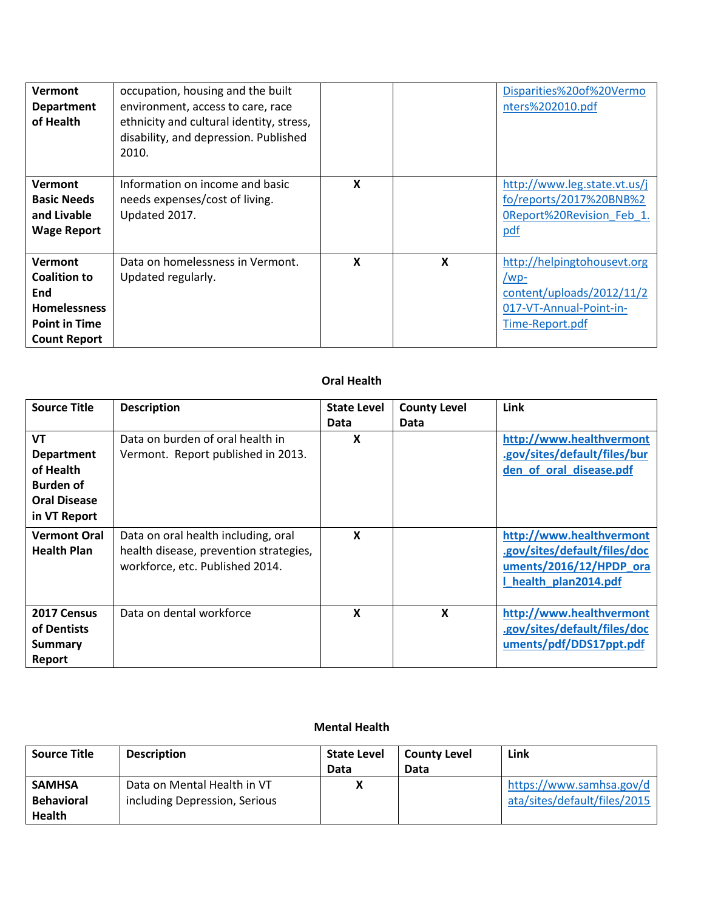| <b>Vermont</b><br><b>Department</b><br>of Health                                                                   | occupation, housing and the built<br>environment, access to care, race<br>ethnicity and cultural identity, stress,<br>disability, and depression. Published<br>2010. |   |   | Disparities%20of%20Vermo<br>nters%202010.pdf                                                                      |
|--------------------------------------------------------------------------------------------------------------------|----------------------------------------------------------------------------------------------------------------------------------------------------------------------|---|---|-------------------------------------------------------------------------------------------------------------------|
| <b>Vermont</b><br><b>Basic Needs</b><br>and Livable<br><b>Wage Report</b>                                          | Information on income and basic<br>needs expenses/cost of living.<br>Updated 2017.                                                                                   | X |   | http://www.leg.state.vt.us/j<br>fo/reports/2017%20BNB%2<br>OReport%20Revision Feb 1.<br>pdf                       |
| <b>Vermont</b><br><b>Coalition to</b><br>End<br><b>Homelessness</b><br><b>Point in Time</b><br><b>Count Report</b> | Data on homelessness in Vermont.<br>Updated regularly.                                                                                                               | X | X | http://helpingtohousevt.org<br>$/wp$ -<br>content/uploads/2012/11/2<br>017-VT-Annual-Point-in-<br>Time-Report.pdf |

## **Oral Health**

| <b>Source Title</b>                                                                                    | <b>Description</b>                                                                                               | <b>State Level</b> | <b>County Level</b> | Link                                                                                                         |
|--------------------------------------------------------------------------------------------------------|------------------------------------------------------------------------------------------------------------------|--------------------|---------------------|--------------------------------------------------------------------------------------------------------------|
|                                                                                                        |                                                                                                                  | Data               | Data                |                                                                                                              |
| <b>VT</b><br><b>Department</b><br>of Health<br><b>Burden of</b><br><b>Oral Disease</b><br>in VT Report | Data on burden of oral health in<br>Vermont. Report published in 2013.                                           | X                  |                     | http://www.healthvermont<br>.gov/sites/default/files/bur<br>den of oral disease.pdf                          |
| <b>Vermont Oral</b><br><b>Health Plan</b>                                                              | Data on oral health including, oral<br>health disease, prevention strategies,<br>workforce, etc. Published 2014. | X                  |                     | http://www.healthvermont<br>.gov/sites/default/files/doc<br>uments/2016/12/HPDP_ora<br>I health plan2014.pdf |
| 2017 Census<br>of Dentists<br>Summary<br>Report                                                        | Data on dental workforce                                                                                         | X                  | X                   | http://www.healthvermont<br>.gov/sites/default/files/doc<br>uments/pdf/DDS17ppt.pdf                          |

## **Mental Health**

| <b>Source Title</b> | <b>Description</b>            | <b>State Level</b> | <b>County Level</b> | Link                         |
|---------------------|-------------------------------|--------------------|---------------------|------------------------------|
|                     |                               | Data               | Data                |                              |
| <b>SAMHSA</b>       | Data on Mental Health in VT   |                    |                     | https://www.samhsa.gov/d     |
| <b>Behavioral</b>   | including Depression, Serious |                    |                     | ata/sites/default/files/2015 |
| <b>Health</b>       |                               |                    |                     |                              |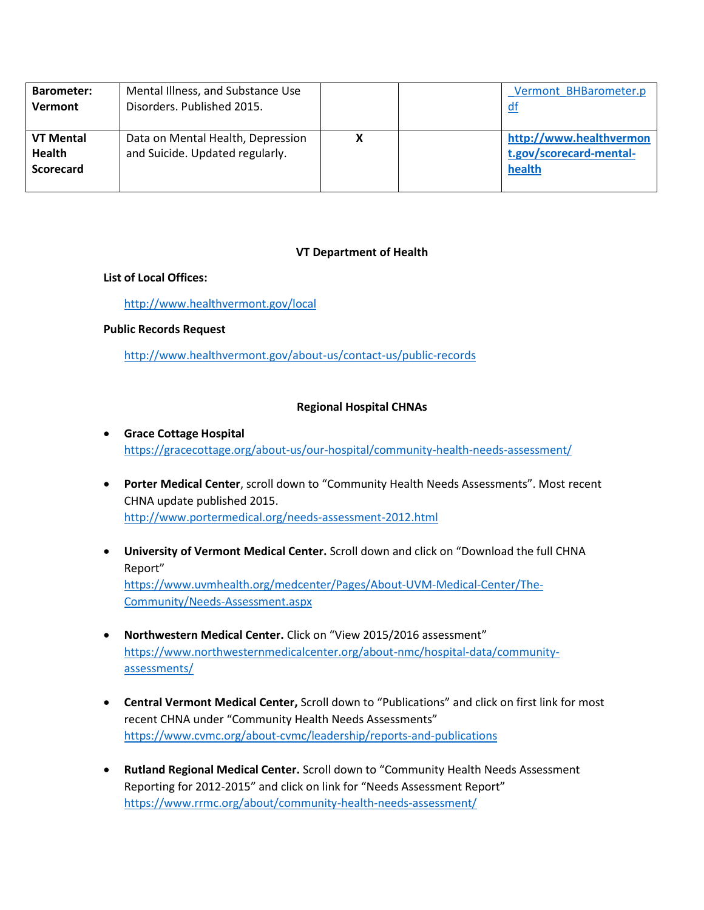| <b>Barometer:</b><br>Vermont                          | Mental Illness, and Substance Use<br>Disorders. Published 2015.      |  | Vermont BHBarometer.p<br>αt                                  |
|-------------------------------------------------------|----------------------------------------------------------------------|--|--------------------------------------------------------------|
| <b>VT Mental</b><br><b>Health</b><br><b>Scorecard</b> | Data on Mental Health, Depression<br>and Suicide. Updated regularly. |  | http://www.healthvermon<br>t.gov/scorecard-mental-<br>health |

#### **VT Department of Health**

## **List of Local Offices:**

## <http://www.healthvermont.gov/local>

## **Public Records Request**

<http://www.healthvermont.gov/about-us/contact-us/public-records>

## **Regional Hospital CHNAs**

- **Grace Cottage Hospital** <https://gracecottage.org/about-us/our-hospital/community-health-needs-assessment/>
- **Porter Medical Center**, scroll down to "Community Health Needs Assessments". Most recent CHNA update published 2015. <http://www.portermedical.org/needs-assessment-2012.html>
- **University of Vermont Medical Center.** Scroll down and click on "Download the full CHNA Report" [https://www.uvmhealth.org/medcenter/Pages/About-UVM-Medical-Center/The-](https://www.uvmhealth.org/medcenter/Pages/About-UVM-Medical-Center/The-Community/Needs-Assessment.aspx)[Community/Needs-Assessment.aspx](https://www.uvmhealth.org/medcenter/Pages/About-UVM-Medical-Center/The-Community/Needs-Assessment.aspx)
- **Northwestern Medical Center.** Click on "View 2015/2016 assessment" [https://www.northwesternmedicalcenter.org/about-nmc/hospital-data/community](https://www.northwesternmedicalcenter.org/about-nmc/hospital-data/community-assessments/)[assessments/](https://www.northwesternmedicalcenter.org/about-nmc/hospital-data/community-assessments/)
- **Central Vermont Medical Center,** Scroll down to "Publications" and click on first link for most recent CHNA under "Community Health Needs Assessments" <https://www.cvmc.org/about-cvmc/leadership/reports-and-publications>
- **Rutland Regional Medical Center.** Scroll down to "Community Health Needs Assessment Reporting for 2012-2015" and click on link for "Needs Assessment Report" <https://www.rrmc.org/about/community-health-needs-assessment/>